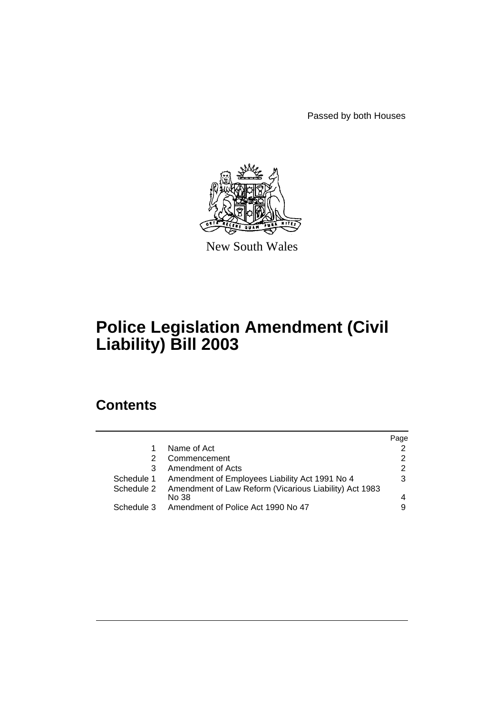Passed by both Houses



New South Wales

# **Police Legislation Amendment (Civil Liability) Bill 2003**

# **Contents**

|            |                                                                   | Page          |
|------------|-------------------------------------------------------------------|---------------|
|            | Name of Act                                                       | $\mathcal{P}$ |
| 2          | Commencement                                                      | 2             |
| 3          | Amendment of Acts                                                 | 2             |
| Schedule 1 | Amendment of Employees Liability Act 1991 No 4                    | 3             |
|            | Schedule 2 Amendment of Law Reform (Vicarious Liability) Act 1983 |               |
|            | No 38                                                             |               |
| Schedule 3 | Amendment of Police Act 1990 No 47                                | 9             |
|            |                                                                   |               |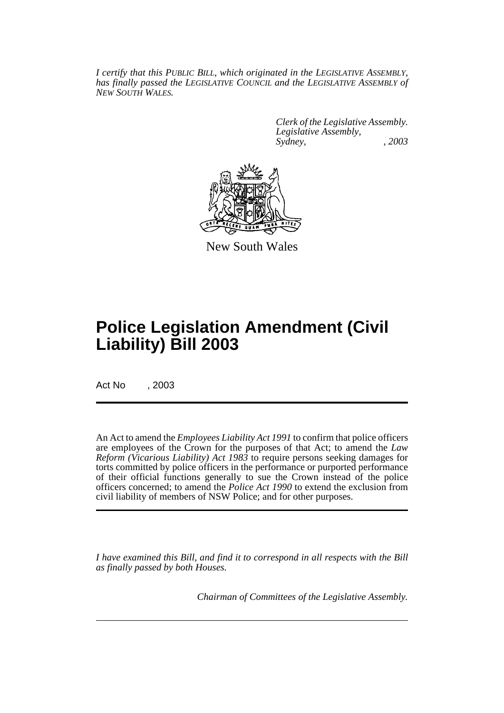*I certify that this PUBLIC BILL, which originated in the LEGISLATIVE ASSEMBLY, has finally passed the LEGISLATIVE COUNCIL and the LEGISLATIVE ASSEMBLY of NEW SOUTH WALES.*

> *Clerk of the Legislative Assembly. Legislative Assembly, Sydney, , 2003*



New South Wales

# **Police Legislation Amendment (Civil Liability) Bill 2003**

Act No , 2003

An Act to amend the *Employees Liability Act 1991* to confirm that police officers are employees of the Crown for the purposes of that Act; to amend the *Law Reform (Vicarious Liability) Act 1983* to require persons seeking damages for torts committed by police officers in the performance or purported performance of their official functions generally to sue the Crown instead of the police officers concerned; to amend the *Police Act 1990* to extend the exclusion from civil liability of members of NSW Police; and for other purposes.

*I have examined this Bill, and find it to correspond in all respects with the Bill as finally passed by both Houses.*

*Chairman of Committees of the Legislative Assembly.*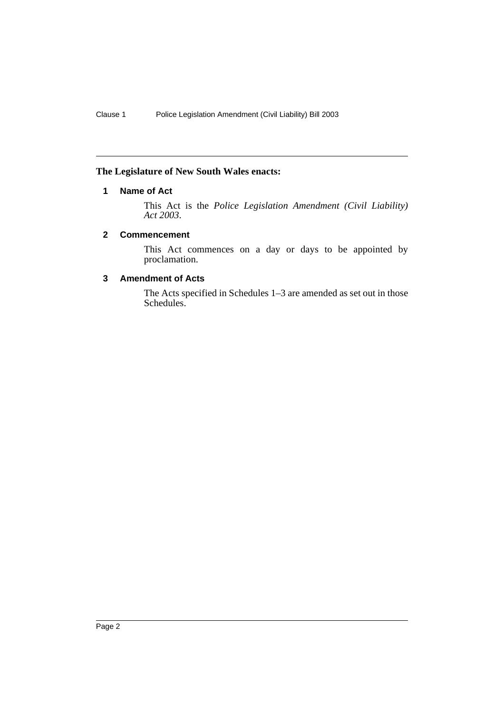### **The Legislature of New South Wales enacts:**

## **1 Name of Act**

This Act is the *Police Legislation Amendment (Civil Liability) Act 2003*.

#### **2 Commencement**

This Act commences on a day or days to be appointed by proclamation.

### **3 Amendment of Acts**

The Acts specified in Schedules 1–3 are amended as set out in those Schedules.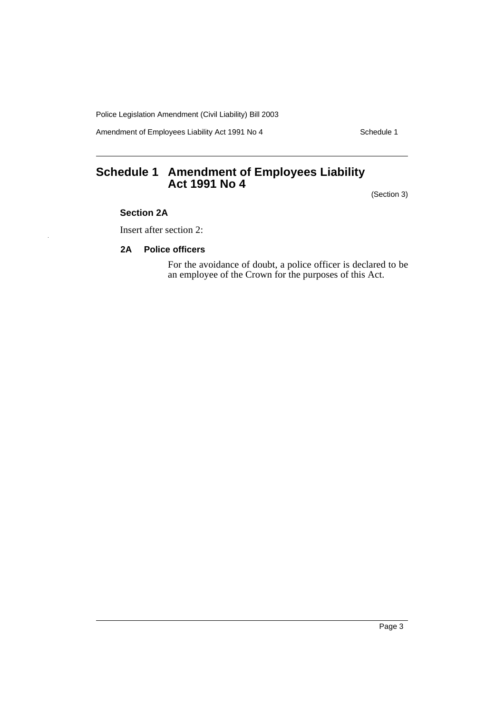Amendment of Employees Liability Act 1991 No 4 Schedule 1

# **Schedule 1 Amendment of Employees Liability Act 1991 No 4**

(Section 3)

#### **Section 2A**

Insert after section 2:

#### **2A Police officers**

For the avoidance of doubt, a police officer is declared to be an employee of the Crown for the purposes of this Act.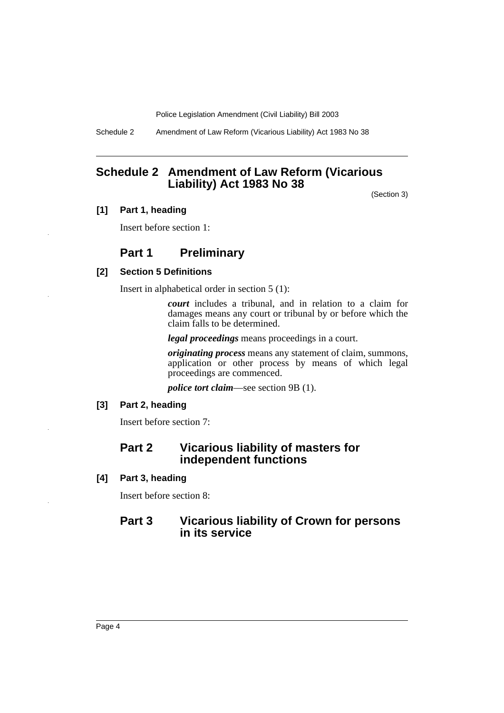Schedule 2 Amendment of Law Reform (Vicarious Liability) Act 1983 No 38

## **Schedule 2 Amendment of Law Reform (Vicarious Liability) Act 1983 No 38**

(Section 3)

#### **[1] Part 1, heading**

Insert before section 1:

## **Part 1 Preliminary**

#### **[2] Section 5 Definitions**

Insert in alphabetical order in section 5 (1):

*court* includes a tribunal, and in relation to a claim for damages means any court or tribunal by or before which the claim falls to be determined.

*legal proceedings* means proceedings in a court.

*originating process* means any statement of claim, summons, application or other process by means of which legal proceedings are commenced.

*police tort claim*—see section 9B (1).

#### **[3] Part 2, heading**

Insert before section 7:

## **Part 2 Vicarious liability of masters for independent functions**

**[4] Part 3, heading**

Insert before section 8:

## **Part 3 Vicarious liability of Crown for persons in its service**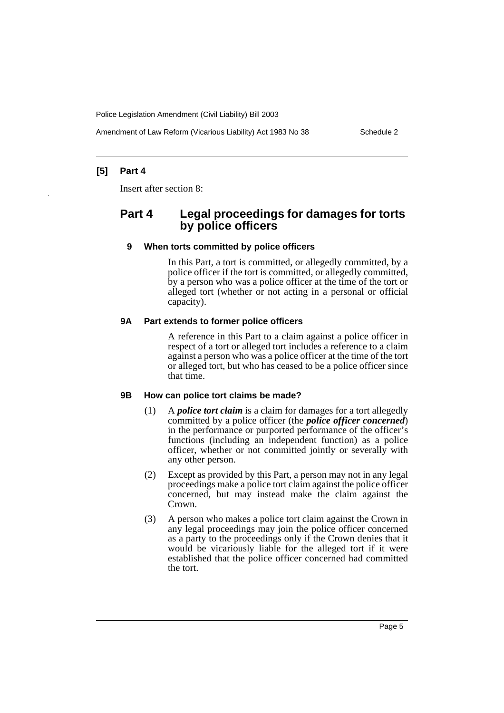Amendment of Law Reform (Vicarious Liability) Act 1983 No 38 Schedule 2

## **[5] Part 4**

Insert after section 8:

## **Part 4 Legal proceedings for damages for torts by police officers**

#### **9 When torts committed by police officers**

In this Part, a tort is committed, or allegedly committed, by a police officer if the tort is committed, or allegedly committed, by a person who was a police officer at the time of the tort or alleged tort (whether or not acting in a personal or official capacity).

#### **9A Part extends to former police officers**

A reference in this Part to a claim against a police officer in respect of a tort or alleged tort includes a reference to a claim against a person who was a police officer at the time of the tort or alleged tort, but who has ceased to be a police officer since that time.

#### **9B How can police tort claims be made?**

- (1) A *police tort claim* is a claim for damages for a tort allegedly committed by a police officer (the *police officer concerned*) in the performance or purported performance of the officer's functions (including an independent function) as a police officer, whether or not committed jointly or severally with any other person.
- (2) Except as provided by this Part, a person may not in any legal proceedings make a police tort claim against the police officer concerned, but may instead make the claim against the Crown.
- (3) A person who makes a police tort claim against the Crown in any legal proceedings may join the police officer concerned as a party to the proceedings only if the Crown denies that it would be vicariously liable for the alleged tort if it were established that the police officer concerned had committed the tort.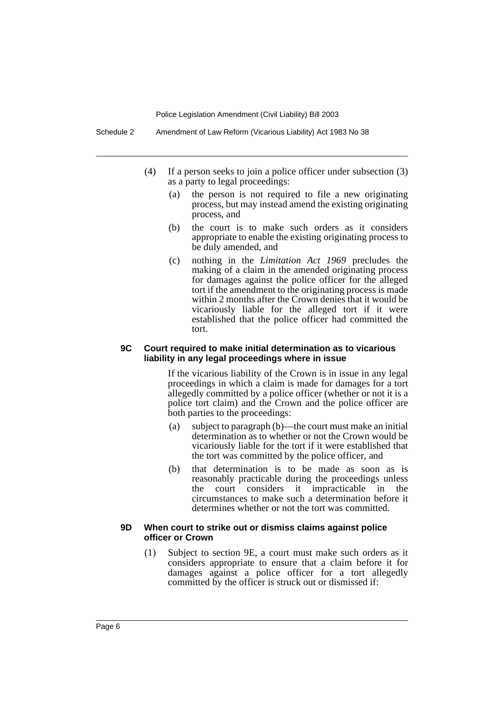- (4) If a person seeks to join a police officer under subsection (3) as a party to legal proceedings:
	- (a) the person is not required to file a new originating process, but may instead amend the existing originating process, and
	- (b) the court is to make such orders as it considers appropriate to enable the existing originating process to be duly amended, and
	- (c) nothing in the *Limitation Act 1969* precludes the making of a claim in the amended originating process for damages against the police officer for the alleged tort if the amendment to the originating process is made within 2 months after the Crown denies that it would be vicariously liable for the alleged tort if it were established that the police officer had committed the tort.

#### **9C Court required to make initial determination as to vicarious liability in any legal proceedings where in issue**

If the vicarious liability of the Crown is in issue in any legal proceedings in which a claim is made for damages for a tort allegedly committed by a police officer (whether or not it is a police tort claim) and the Crown and the police officer are both parties to the proceedings:

- (a) subject to paragraph (b)—the court must make an initial determination as to whether or not the Crown would be vicariously liable for the tort if it were established that the tort was committed by the police officer, and
- (b) that determination is to be made as soon as is reasonably practicable during the proceedings unless the court considers it impracticable in the circumstances to make such a determination before it determines whether or not the tort was committed.

#### **9D When court to strike out or dismiss claims against police officer or Crown**

(1) Subject to section 9E, a court must make such orders as it considers appropriate to ensure that a claim before it for damages against a police officer for a tort allegedly committed by the officer is struck out or dismissed if: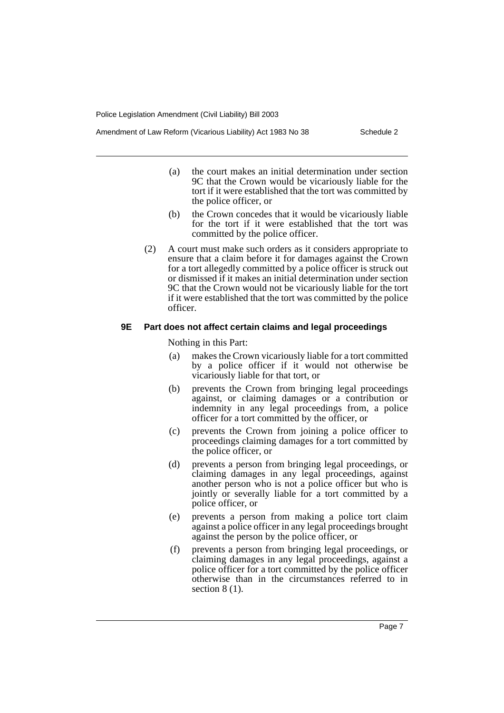- (a) the court makes an initial determination under section 9C that the Crown would be vicariously liable for the tort if it were established that the tort was committed by the police officer, or
- (b) the Crown concedes that it would be vicariously liable for the tort if it were established that the tort was committed by the police officer.
- (2) A court must make such orders as it considers appropriate to ensure that a claim before it for damages against the Crown for a tort allegedly committed by a police officer is struck out or dismissed if it makes an initial determination under section 9C that the Crown would not be vicariously liable for the tort if it were established that the tort was committed by the police officer.

#### **9E Part does not affect certain claims and legal proceedings**

Nothing in this Part:

- (a) makes the Crown vicariously liable for a tort committed by a police officer if it would not otherwise be vicariously liable for that tort, or
- (b) prevents the Crown from bringing legal proceedings against, or claiming damages or a contribution or indemnity in any legal proceedings from, a police officer for a tort committed by the officer, or
- (c) prevents the Crown from joining a police officer to proceedings claiming damages for a tort committed by the police officer, or
- (d) prevents a person from bringing legal proceedings, or claiming damages in any legal proceedings, against another person who is not a police officer but who is jointly or severally liable for a tort committed by a police officer, or
- (e) prevents a person from making a police tort claim against a police officer in any legal proceedings brought against the person by the police officer, or
- (f) prevents a person from bringing legal proceedings, or claiming damages in any legal proceedings, against a police officer for a tort committed by the police officer otherwise than in the circumstances referred to in section  $8(1)$ .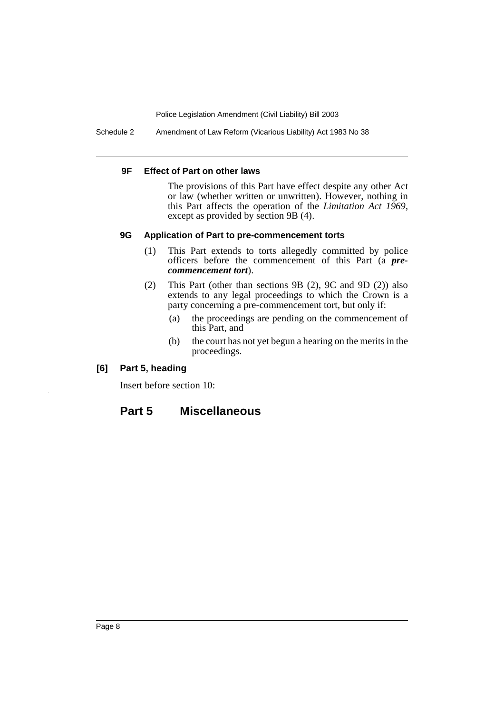Schedule 2 Amendment of Law Reform (Vicarious Liability) Act 1983 No 38

#### **9F Effect of Part on other laws**

The provisions of this Part have effect despite any other Act or law (whether written or unwritten). However, nothing in this Part affects the operation of the *Limitation Act 1969*, except as provided by section 9B (4).

#### **9G Application of Part to pre-commencement torts**

- (1) This Part extends to torts allegedly committed by police officers before the commencement of this Part (a *precommencement tort*).
- (2) This Part (other than sections 9B (2), 9C and 9D (2)) also extends to any legal proceedings to which the Crown is a party concerning a pre-commencement tort, but only if:
	- (a) the proceedings are pending on the commencement of this Part, and
	- (b) the court has not yet begun a hearing on the merits in the proceedings.

#### **[6] Part 5, heading**

Insert before section 10:

## **Part 5 Miscellaneous**